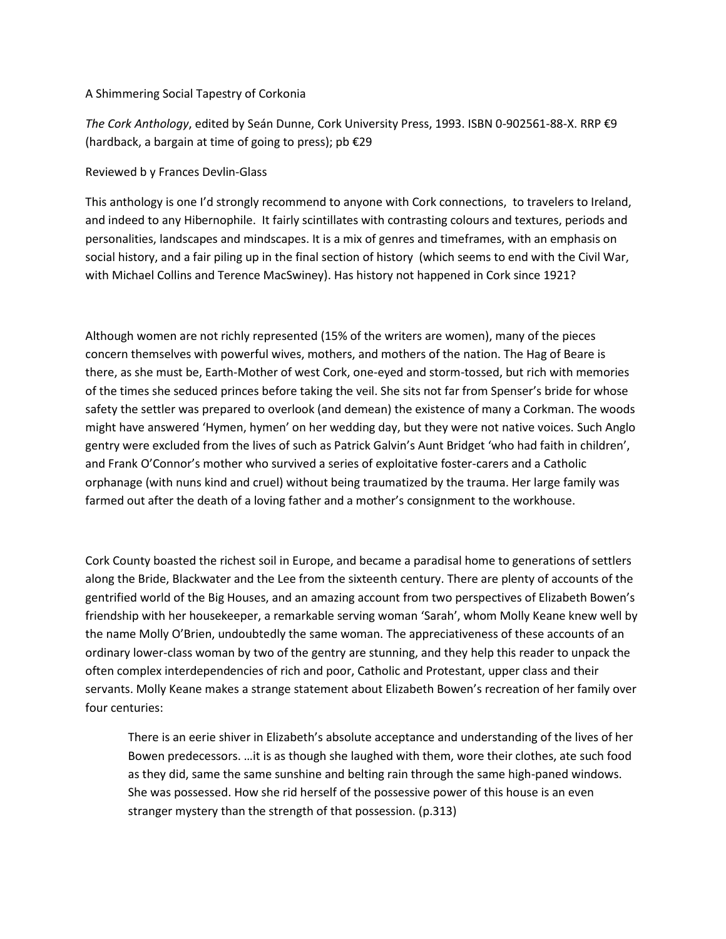## A Shimmering Social Tapestry of Corkonia

*The Cork Anthology*, edited by Seán Dunne, Cork University Press, 1993. ISBN 0-902561-88-X. RRP €9 (hardback, a bargain at time of going to press); pb €29

Reviewed b y Frances Devlin-Glass

This anthology is one I'd strongly recommend to anyone with Cork connections, to travelers to Ireland, and indeed to any Hibernophile. It fairly scintillates with contrasting colours and textures, periods and personalities, landscapes and mindscapes. It is a mix of genres and timeframes, with an emphasis on social history, and a fair piling up in the final section of history (which seems to end with the Civil War, with Michael Collins and Terence MacSwiney). Has history not happened in Cork since 1921?

Although women are not richly represented (15% of the writers are women), many of the pieces concern themselves with powerful wives, mothers, and mothers of the nation. The Hag of Beare is there, as she must be, Earth-Mother of west Cork, one-eyed and storm-tossed, but rich with memories of the times she seduced princes before taking the veil. She sits not far from Spenser's bride for whose safety the settler was prepared to overlook (and demean) the existence of many a Corkman. The woods might have answered 'Hymen, hymen' on her wedding day, but they were not native voices. Such Anglo gentry were excluded from the lives of such as Patrick Galvin's Aunt Bridget 'who had faith in children', and Frank O'Connor's mother who survived a series of exploitative foster-carers and a Catholic orphanage (with nuns kind and cruel) without being traumatized by the trauma. Her large family was farmed out after the death of a loving father and a mother's consignment to the workhouse.

Cork County boasted the richest soil in Europe, and became a paradisal home to generations of settlers along the Bride, Blackwater and the Lee from the sixteenth century. There are plenty of accounts of the gentrified world of the Big Houses, and an amazing account from two perspectives of Elizabeth Bowen's friendship with her housekeeper, a remarkable serving woman 'Sarah', whom Molly Keane knew well by the name Molly O'Brien, undoubtedly the same woman. The appreciativeness of these accounts of an ordinary lower-class woman by two of the gentry are stunning, and they help this reader to unpack the often complex interdependencies of rich and poor, Catholic and Protestant, upper class and their servants. Molly Keane makes a strange statement about Elizabeth Bowen's recreation of her family over four centuries:

There is an eerie shiver in Elizabeth's absolute acceptance and understanding of the lives of her Bowen predecessors. …it is as though she laughed with them, wore their clothes, ate such food as they did, same the same sunshine and belting rain through the same high-paned windows. She was possessed. How she rid herself of the possessive power of this house is an even stranger mystery than the strength of that possession. (p.313)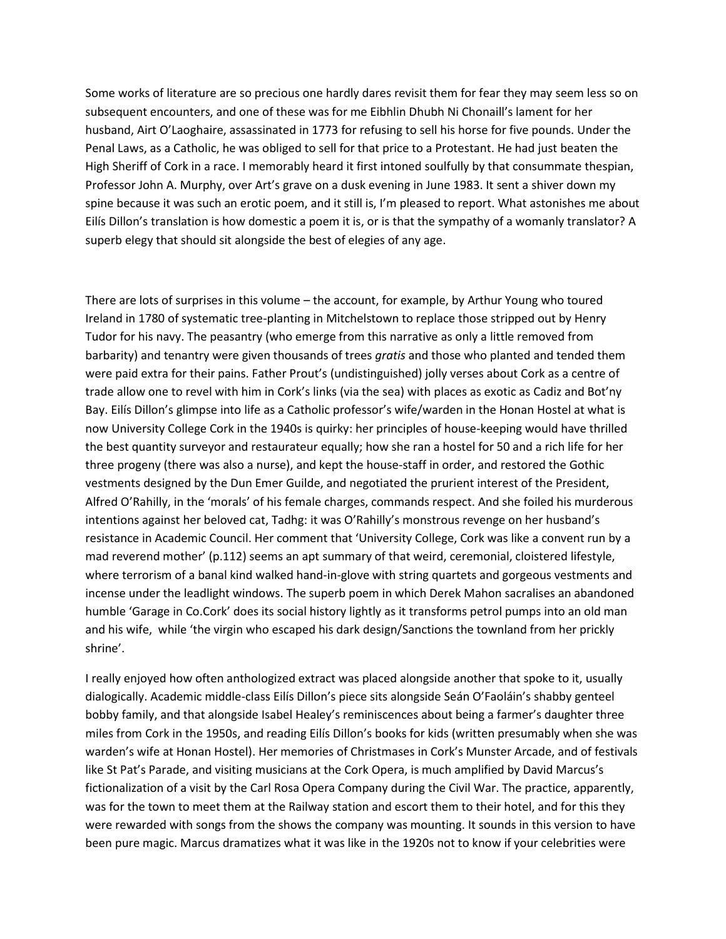Some works of literature are so precious one hardly dares revisit them for fear they may seem less so on subsequent encounters, and one of these was for me Eibhlin Dhubh Ni Chonaill's lament for her husband, Airt O'Laoghaire, assassinated in 1773 for refusing to sell his horse for five pounds. Under the Penal Laws, as a Catholic, he was obliged to sell for that price to a Protestant. He had just beaten the High Sheriff of Cork in a race. I memorably heard it first intoned soulfully by that consummate thespian, Professor John A. Murphy, over Art's grave on a dusk evening in June 1983. It sent a shiver down my spine because it was such an erotic poem, and it still is, I'm pleased to report. What astonishes me about Eilís Dillon's translation is how domestic a poem it is, or is that the sympathy of a womanly translator? A superb elegy that should sit alongside the best of elegies of any age.

There are lots of surprises in this volume – the account, for example, by Arthur Young who toured Ireland in 1780 of systematic tree-planting in Mitchelstown to replace those stripped out by Henry Tudor for his navy. The peasantry (who emerge from this narrative as only a little removed from barbarity) and tenantry were given thousands of trees *gratis* and those who planted and tended them were paid extra for their pains. Father Prout's (undistinguished) jolly verses about Cork as a centre of trade allow one to revel with him in Cork's links (via the sea) with places as exotic as Cadiz and Bot'ny Bay. Eilís Dillon's glimpse into life as a Catholic professor's wife/warden in the Honan Hostel at what is now University College Cork in the 1940s is quirky: her principles of house-keeping would have thrilled the best quantity surveyor and restaurateur equally; how she ran a hostel for 50 and a rich life for her three progeny (there was also a nurse), and kept the house-staff in order, and restored the Gothic vestments designed by the Dun Emer Guilde, and negotiated the prurient interest of the President, Alfred O'Rahilly, in the 'morals' of his female charges, commands respect. And she foiled his murderous intentions against her beloved cat, Tadhg: it was O'Rahilly's monstrous revenge on her husband's resistance in Academic Council. Her comment that 'University College, Cork was like a convent run by a mad reverend mother' (p.112) seems an apt summary of that weird, ceremonial, cloistered lifestyle, where terrorism of a banal kind walked hand-in-glove with string quartets and gorgeous vestments and incense under the leadlight windows. The superb poem in which Derek Mahon sacralises an abandoned humble 'Garage in Co.Cork' does its social history lightly as it transforms petrol pumps into an old man and his wife, while 'the virgin who escaped his dark design/Sanctions the townland from her prickly shrine'.

I really enjoyed how often anthologized extract was placed alongside another that spoke to it, usually dialogically. Academic middle-class Eilís Dillon's piece sits alongside Seán O'Faoláin's shabby genteel bobby family, and that alongside Isabel Healey's reminiscences about being a farmer's daughter three miles from Cork in the 1950s, and reading Eilís Dillon's books for kids (written presumably when she was warden's wife at Honan Hostel). Her memories of Christmases in Cork's Munster Arcade, and of festivals like St Pat's Parade, and visiting musicians at the Cork Opera, is much amplified by David Marcus's fictionalization of a visit by the Carl Rosa Opera Company during the Civil War. The practice, apparently, was for the town to meet them at the Railway station and escort them to their hotel, and for this they were rewarded with songs from the shows the company was mounting. It sounds in this version to have been pure magic. Marcus dramatizes what it was like in the 1920s not to know if your celebrities were